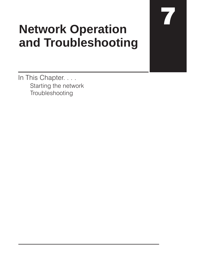## **Network Operation and Troubleshooting**

17

In This Chapter. . . . Starting the network Troubleshooting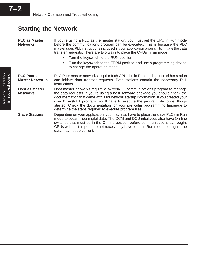## **Starting the Network**

| <b>PLC as Master</b><br><b>Networks</b>      | If you're using a PLC as the master station, you must put the CPU in Run mode<br>before the communications program can be executed. This is because the PLC<br>master uses RLL instructions included in your application program to initiate the data<br>transfer requests. There are two ways to place the CPUs in run mode.<br>Turn the keyswitch to the RUN position.<br>$\bullet$<br>Turn the keyswitch to the TERM position and use a programming device<br>to change the operating mode. |  |  |
|----------------------------------------------|------------------------------------------------------------------------------------------------------------------------------------------------------------------------------------------------------------------------------------------------------------------------------------------------------------------------------------------------------------------------------------------------------------------------------------------------------------------------------------------------|--|--|
| <b>PLC Peer as</b><br><b>Master Networks</b> | PLC Peer master networks require both CPUs be in Run mode, since either station<br>can initiate data transfer requests. Both stations contain the necessary RLL<br>instructions.                                                                                                                                                                                                                                                                                                               |  |  |
| <b>Host as Master</b><br><b>Networks</b>     | Host master networks require a <b>Direct</b> NET communications program to manage<br>the data requests. If you're using a host software package you should check the<br>documentation that came with it for network startup information. If you created your<br>own <b>Direct</b> NET program, you'll have to execute the program file to get things<br>started. Check the documentation for your particular programming language to<br>determine the steps required to execute program files. |  |  |
| <b>Slave Stations</b>                        | Depending on your application, you may also have to place the slave PLCs in Run<br>mode to obtain meaningful data. The DCM and DCU interfaces also have On-line<br>switches that must be in the On-line position before communications can begin.<br>CPUs with built-in ports do not necessarily have to be in Run mode, but again the<br>data may not be current.                                                                                                                             |  |  |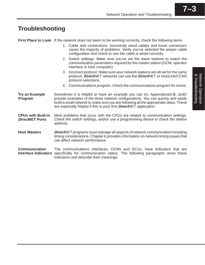& Troubleshooting Network Operation

Network Operation<br>& Troubleshooting

## **Troubleshooting**

First Place to Look If the network does not seem to be working correctly, check the following items.

|                                                     |                                                                                                                                                                                                                                                                                                                                         | 1. Cable and connections. Incorrectly wired cables and loose connectors<br>cause the majority of problems. Verify you've selected the proper cable<br>configuration and check to see the cable is wired correctly. |  |
|-----------------------------------------------------|-----------------------------------------------------------------------------------------------------------------------------------------------------------------------------------------------------------------------------------------------------------------------------------------------------------------------------------------|--------------------------------------------------------------------------------------------------------------------------------------------------------------------------------------------------------------------|--|
|                                                     |                                                                                                                                                                                                                                                                                                                                         | 2. Switch settings. Make sure you've set the slave stations to match the<br>communication parameters required by the master station (DCM, operator<br>interface or host computer).                                 |  |
|                                                     | 3.                                                                                                                                                                                                                                                                                                                                      | Incorrect protocol. Make sure your network stations are all set for the same<br>protocol. DirectNET networks can use the DirectNET or HostLink/CCM2<br>protocol selections.                                        |  |
|                                                     |                                                                                                                                                                                                                                                                                                                                         | 4. Communications program. Check the communications program for errors.                                                                                                                                            |  |
| <b>Try an Example</b><br>Program                    | Sometimes it is helpful to have an example you can try. AppendicesA,B, andC<br>provide examples of the three network configurations. You can quickly and easily<br>build a small network to make sure you are following all the appropriate steps. These<br>are especially helpful if this is your first <b>Direct</b> NET application. |                                                                                                                                                                                                                    |  |
| <b>CPUs with Built-in</b><br><b>DirectNET Ports</b> | Most problems that occur with the CPUs are related to communication settings.<br>Check the switch settings, and/or use a programming device to check the station<br>address.                                                                                                                                                            |                                                                                                                                                                                                                    |  |
| <b>Host Masters</b>                                 | <b>DirectNET</b> programs must manage all aspects of network communication including<br>timing considerations. Chapter 6 provides information on network timing issues that<br>can affect network performance.                                                                                                                          |                                                                                                                                                                                                                    |  |
| <b>Communication</b><br><b>Interface Indicators</b> | The communications interfaces, DCMs and DCUs, have indicators that are<br>specifically for communication status. The following paragraphs show these<br>indicators and describe their meanings.                                                                                                                                         |                                                                                                                                                                                                                    |  |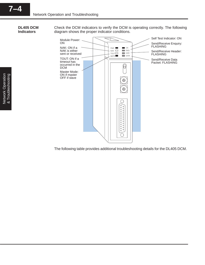**DL405 DCM Indicators**

Check the DCM indicators to verify the DCM is operating correctly. The following diagram shows the proper indicator conditions.



The following table provides additional troubleshooting details for the DL405 DCM.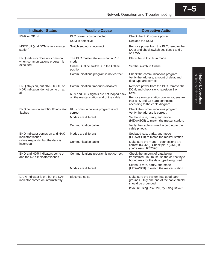| <b>Indicator Status</b>                                                    | <b>Possible Cause</b>                                                             | <b>Corrective Action</b>                                                                                                 |
|----------------------------------------------------------------------------|-----------------------------------------------------------------------------------|--------------------------------------------------------------------------------------------------------------------------|
| PWR or OK off                                                              | PLC power is disconnected                                                         | Check the PLC source power.                                                                                              |
|                                                                            | DCM is defective                                                                  | Replace the DCM.                                                                                                         |
| MSTR off (and DCM is in a master<br>station)                               | Switch setting is incorrect                                                       | Remove power from the PLC, remove the<br>DCM and check switch positions1 and 2<br>on SW <sub>5</sub> .                   |
| ENQ indicator does not come on<br>when communications program is           | The PLC master station is not in Run<br>mode                                      | Place the PLC in Run mode.                                                                                               |
| executed                                                                   | Online / Offline switch is in the Offline<br>position                             | Set the switch to Online.                                                                                                |
|                                                                            | Communications program is not correct                                             | Check the communications program.<br>Verify the address, amount of data, and<br>data type are correct.                   |
| ENQ stays on, but NAK, TOUT, or<br>HDR indicators do not come on at<br>all | Communication timeout is disabled                                                 | Remove power from the PLC, remove the<br>DCM, and check switch position 3 on<br>SW5.                                     |
|                                                                            | RTS and CTS signals are not looped back<br>on the master station end of the cable | Remove master station connector, ensure<br>that RTS and CTS are connected<br>according to the cable diagram.             |
| ENQ comes on and TOUT indicator<br>flashes                                 | RLL communications program is not<br>correct                                      | Check the communications program.<br>Verify the address is correct.                                                      |
|                                                                            | Modes are different                                                               | Set baud rate, parity, and mode<br>(HEX/ASCII) to match the master station.                                              |
|                                                                            | Communication cable                                                               | Verify the cable is wired according to the<br>cable pinouts.                                                             |
| ENQ indicator comes on and NAK<br>indicator flashes                        | Modes are different                                                               | Set baud rate, parity, and mode<br>(HEX/ASCII) to match the master station.                                              |
| (slave responds, but the data is<br>incorrect)                             | Communication cable                                                               | Make sure the $+$ and $-$ connections are<br>correct (RS422). Check pin 7 (GND) if<br>you're using RS232C.               |
| ENQ and HDR indicators come on<br>and the NAK indicator flashes            | Communications program is not correct                                             | Check the amount of data being<br>transferred. You must use the correct byte<br>boundaries for the data type being used. |
|                                                                            | Modes are different                                                               | Set baud rate, parity, and mode<br>(HEX/ASCII) to match the master station.                                              |
| DATA indicator is on, but the NAK<br>indicator comes on intermittently     | Electrical noise                                                                  | Make sure the system has good earth<br>grounds. Only one end of the cable shield<br>should be grounded.                  |
|                                                                            |                                                                                   | If you're using RS232C, try using RS422.                                                                                 |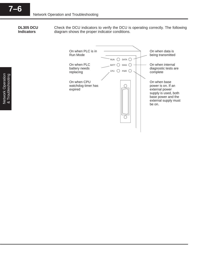**DL305 DCU Indicators**

Check the DCU indicators to verify the DCU is operating correctly. The following diagram shows the proper indicator conditions.